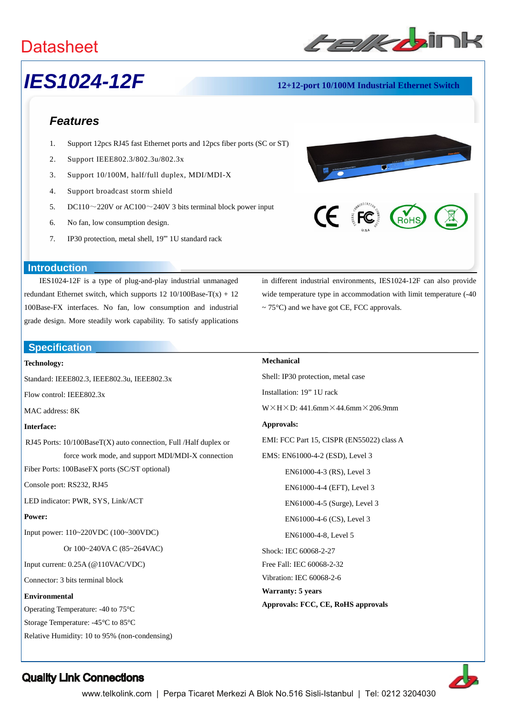

## *IES1024-12F* **12+12-port 10/100M Industrial Ethernet Switch**

## *Features*

- 1. Support 12pcs RJ45 fast Ethernet ports and 12pcs fiber ports (SC or ST)
- 2. Support IEEE802.3/802.3u/802.3x
- 3. Support 10/100M, half/full duplex, MDI/MDI-X
- 4. Support broadcast storm shield
- 5. DC110 $\sim$ 220V or AC100 $\sim$ 240V 3 bits terminal block power input
- 6. No fan, low consumption design.
- 7. IP30 protection, metal shell, 19"' 1U standard rack



#### **Introduction**

IES1024-12F is a type of plug-and-play industrial unmanaged redundant Ethernet switch, which supports  $12 \frac{10}{100Base-T(x)} + 12$ 100Base-FX interfaces. No fan, low consumption and industrial grade design. More steadily work capability. To satisfy applications **IES1024**<br>
Features<br>
1. Support 1<br>
2. Support 1<br>
3. Support 1<br>
5. DC110~1<br>
6. No fan, lo<br>
7. IP30 prote<br>
Introduction<br>
IES1024-12F is a<br>
redundant Ethernet swit<br>
100Base-FX interfaces<br>
grade design. More stee<br>
Specificatio

**Specification**

#### **Technology:**

Standard: IEEE802.3, IEEE802.3u, IEEE802.3x

Flow control: IEEE802.3x

MAC address: 8K

#### **Interface:**

RJ45 Ports: 10/100BaseT(X) auto connection, Full /Half duplex or force work mode, and support MDI/MDI-X connection

Fiber Ports: 100BaseFX ports (SC/ST optional)

Console port: RS232, RJ45

LED indicator: PWR, SYS, Link/ACT

#### **Power:**

Input power: 110~220VDC (100~300VDC)

Or 100~240VA C (85~264VAC)

Input current: 0.25A (@110VAC/VDC)

Connector: 3 bits terminal block

#### **Environmental**

Operating Temperature: -40 to 75°C

Storage Temperature: -45°C to 85°C

Relative Humidity: 10 to 95% (non-condensing)

in different industrial environments, IES1024-12F can also provide wide temperature type in accommodation with limit temperature (-40  $\sim$  75°C) and we have got CE, FCC approvals.

### **Mechanical**

Shell: IP30 protection, metal case Installation: 19" 1U rack  $W \times H \times D$ : 441.6mm $\times$ 44.6mm $\times$ 206.9mm **Approvals:** EMI: FCC Part 15, CISPR (EN55022) class A EMS: EN61000-4-2 (ESD), Level 3 EN61000-4-3 (RS), Level 3 EN61000-4-4 (EFT), Level 3 EN61000-4-5 (Surge), Level 3 EN61000-4-6 (CS), Level 3 EN61000-4-8, Level 5 Shock: IEC 60068-2-27 Free Fall: IEC 60068-2-32 Vibration: IEC 60068-2-6 **Warranty: 5 years Approvals: FCC, CE, RoHS approvals**